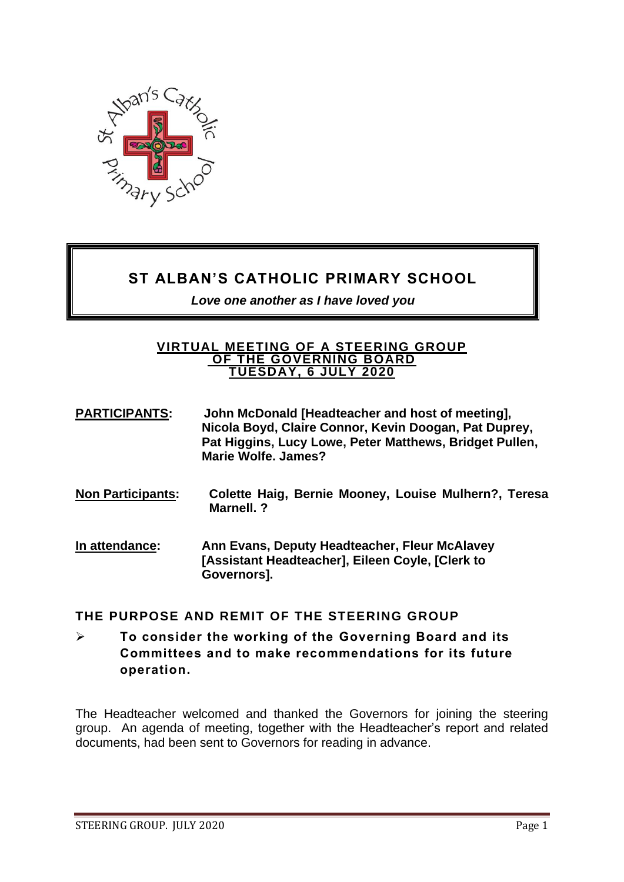

# **ST ALBAN'S CATHOLIC PRIMARY SCHOOL**

*Love one another as I have loved you* 

#### **VIRTUAL MEETING OF A STEERING GROUP OF THE GOVERNING BOARD TUESDAY, 6 JULY 2020**

- **PARTICIPANTS: John McDonald [Headteacher and host of meeting], Nicola Boyd, Claire Connor, Kevin Doogan, Pat Duprey, Pat Higgins, Lucy Lowe, Peter Matthews, Bridget Pullen, Marie Wolfe. James?**
- **Non Participants: Colette Haig, Bernie Mooney, Louise Mulhern?, Teresa Marnell. ?**
- **In attendance: Ann Evans, Deputy Headteacher, Fleur McAlavey [Assistant Headteacher], Eileen Coyle, [Clerk to Governors].**

## **THE PURPOSE AND REMIT OF THE STEERING GROUP**

➢ **To consider the working of the Governing Board and its Committees and to make recommendations for its future operation.** 

The Headteacher welcomed and thanked the Governors for joining the steering group. An agenda of meeting, together with the Headteacher's report and related documents, had been sent to Governors for reading in advance.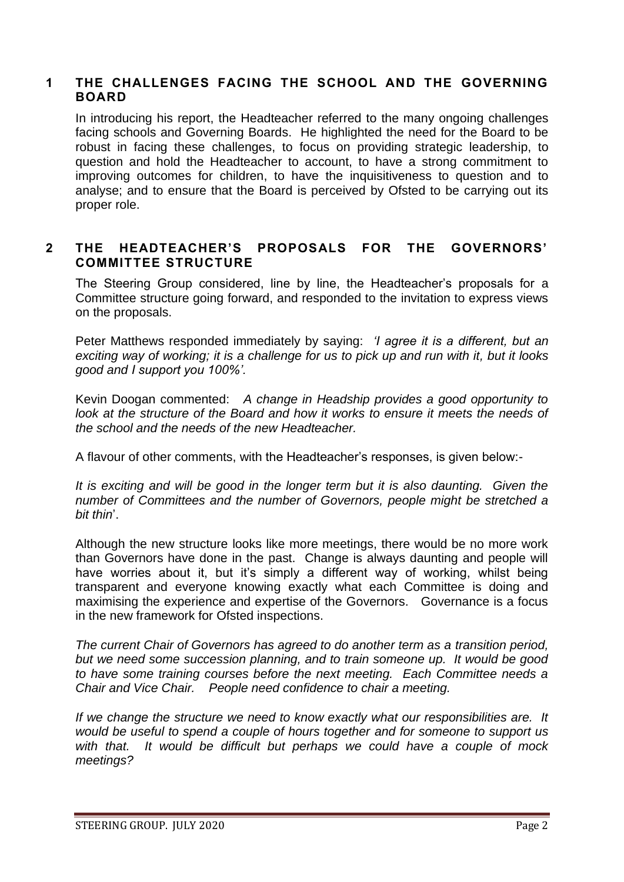#### **1 THE CHALLENGES FACING THE SCHOOL AND THE GOVERNING BOARD**

In introducing his report, the Headteacher referred to the many ongoing challenges facing schools and Governing Boards. He highlighted the need for the Board to be robust in facing these challenges, to focus on providing strategic leadership, to question and hold the Headteacher to account, to have a strong commitment to improving outcomes for children, to have the inquisitiveness to question and to analyse; and to ensure that the Board is perceived by Ofsted to be carrying out its proper role.

#### **2 THE HEADTEACHER'S PROPOSALS FOR THE GOVERNORS' COMMITTEE STRUCTURE**

The Steering Group considered, line by line, the Headteacher's proposals for a Committee structure going forward, and responded to the invitation to express views on the proposals.

Peter Matthews responded immediately by saying: *'I agree it is a different, but an exciting way of working; it is a challenge for us to pick up and run with it, but it looks good and I support you 100%'.* 

Kevin Doogan commented: *A change in Headship provides a good opportunity to look at the structure of the Board and how it works to ensure it meets the needs of the school and the needs of the new Headteacher.*

A flavour of other comments, with the Headteacher's responses, is given below:-

*It is exciting and will be good in the longer term but it is also daunting. Given the number of Committees and the number of Governors, people might be stretched a bit thin*'.

Although the new structure looks like more meetings, there would be no more work than Governors have done in the past. Change is always daunting and people will have worries about it, but it's simply a different way of working, whilst being transparent and everyone knowing exactly what each Committee is doing and maximising the experience and expertise of the Governors. Governance is a focus in the new framework for Ofsted inspections.

*The current Chair of Governors has agreed to do another term as a transition period, but we need some succession planning, and to train someone up. It would be good to have some training courses before the next meeting. Each Committee needs a Chair and Vice Chair. People need confidence to chair a meeting.*

*If we change the structure we need to know exactly what our responsibilities are. It would be useful to spend a couple of hours together and for someone to support us with that. It would be difficult but perhaps we could have a couple of mock meetings?*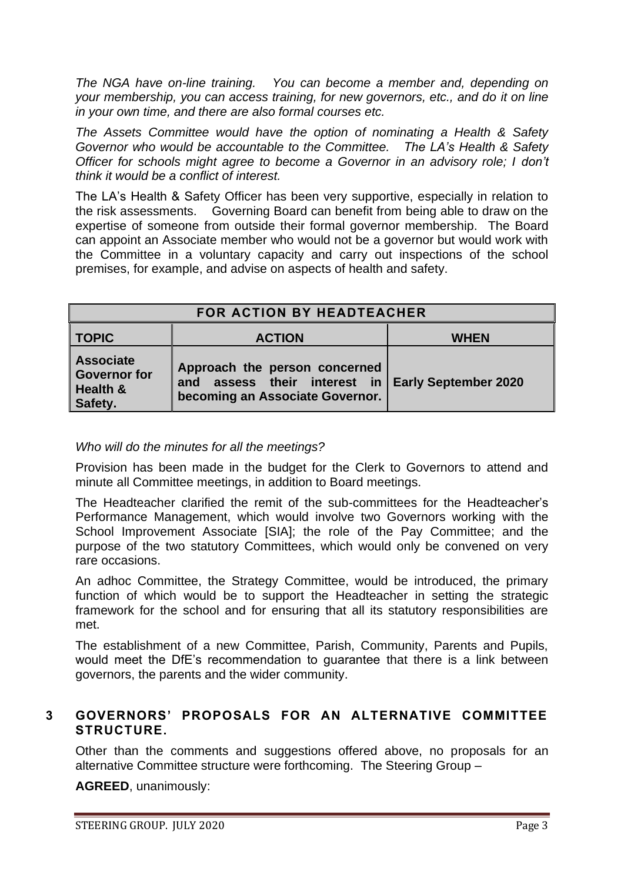*The NGA have on-line training. You can become a member and, depending on your membership, you can access training, for new governors, etc., and do it on line in your own time, and there are also formal courses etc.* 

*The Assets Committee would have the option of nominating a Health & Safety Governor who would be accountable to the Committee. The LA's Health & Safety Officer for schools might agree to become a Governor in an advisory role; I don't think it would be a conflict of interest.* 

The LA's Health & Safety Officer has been very supportive, especially in relation to the risk assessments. Governing Board can benefit from being able to draw on the expertise of someone from outside their formal governor membership. The Board can appoint an Associate member who would not be a governor but would work with the Committee in a voluntary capacity and carry out inspections of the school premises, for example, and advise on aspects of health and safety.

| FOR ACTION BY HEADTEACHER                                      |                                                                                                                       |             |
|----------------------------------------------------------------|-----------------------------------------------------------------------------------------------------------------------|-------------|
| <b>TOPIC</b>                                                   | <b>ACTION</b>                                                                                                         | <b>WHEN</b> |
| <b>Associate</b><br><b>Governor for</b><br>Health &<br>Safety. | Approach the person concerned<br>and assess their interest in Early September 2020<br>becoming an Associate Governor. |             |

#### *Who will do the minutes for all the meetings?*

Provision has been made in the budget for the Clerk to Governors to attend and minute all Committee meetings, in addition to Board meetings.

The Headteacher clarified the remit of the sub-committees for the Headteacher's Performance Management, which would involve two Governors working with the School Improvement Associate [SIA]; the role of the Pay Committee; and the purpose of the two statutory Committees, which would only be convened on very rare occasions.

An adhoc Committee, the Strategy Committee, would be introduced, the primary function of which would be to support the Headteacher in setting the strategic framework for the school and for ensuring that all its statutory responsibilities are met.

The establishment of a new Committee, Parish, Community, Parents and Pupils, would meet the DfE's recommendation to guarantee that there is a link between governors, the parents and the wider community.

#### **3 GOVERNORS' PROPOSALS FOR AN ALTERNATIVE COMMITTEE STRUCTURE.**

Other than the comments and suggestions offered above, no proposals for an alternative Committee structure were forthcoming. The Steering Group –

**AGREED**, unanimously: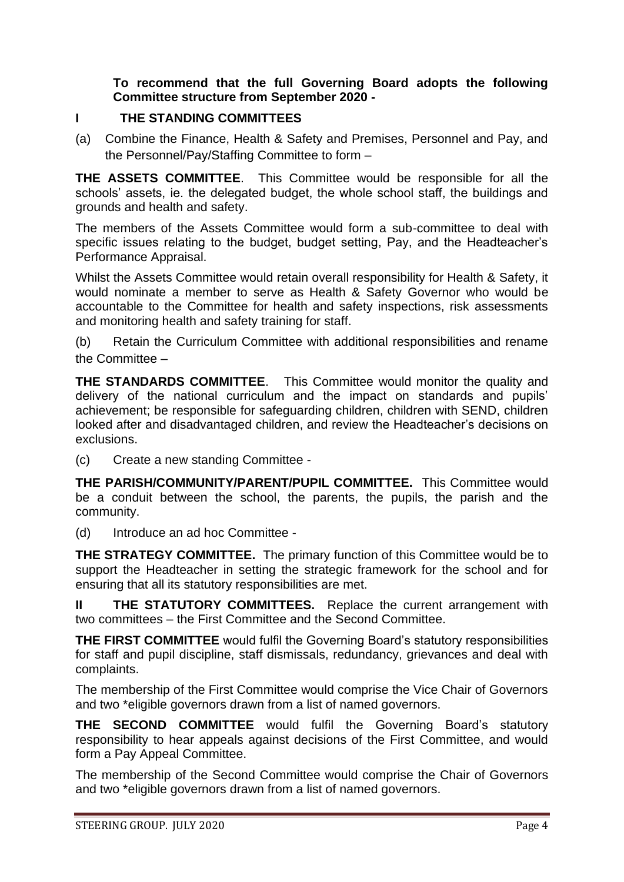### **To recommend that the full Governing Board adopts the following Committee structure from September 2020 -**

#### **I THE STANDING COMMITTEES**

(a) Combine the Finance, Health & Safety and Premises, Personnel and Pay, and the Personnel/Pay/Staffing Committee to form –

**THE ASSETS COMMITTEE**. This Committee would be responsible for all the schools' assets, ie. the delegated budget, the whole school staff, the buildings and grounds and health and safety.

The members of the Assets Committee would form a sub-committee to deal with specific issues relating to the budget, budget setting, Pay, and the Headteacher's Performance Appraisal.

Whilst the Assets Committee would retain overall responsibility for Health & Safety, it would nominate a member to serve as Health & Safety Governor who would be accountable to the Committee for health and safety inspections, risk assessments and monitoring health and safety training for staff.

(b) Retain the Curriculum Committee with additional responsibilities and rename the Committee –

**THE STANDARDS COMMITTEE**. This Committee would monitor the quality and delivery of the national curriculum and the impact on standards and pupils' achievement; be responsible for safeguarding children, children with SEND, children looked after and disadvantaged children, and review the Headteacher's decisions on exclusions.

(c) Create a new standing Committee -

**THE PARISH/COMMUNITY/PARENT/PUPIL COMMITTEE.** This Committee would be a conduit between the school, the parents, the pupils, the parish and the community.

(d) Introduce an ad hoc Committee -

**THE STRATEGY COMMITTEE.** The primary function of this Committee would be to support the Headteacher in setting the strategic framework for the school and for ensuring that all its statutory responsibilities are met.

**II** THE STATUTORY COMMITTEES. Replace the current arrangement with two committees – the First Committee and the Second Committee.

**THE FIRST COMMITTEE** would fulfil the Governing Board's statutory responsibilities for staff and pupil discipline, staff dismissals, redundancy, grievances and deal with complaints.

The membership of the First Committee would comprise the Vice Chair of Governors and two \*eligible governors drawn from a list of named governors.

**THE SECOND COMMITTEE** would fulfil the Governing Board's statutory responsibility to hear appeals against decisions of the First Committee, and would form a Pay Appeal Committee.

The membership of the Second Committee would comprise the Chair of Governors and two \*eligible governors drawn from a list of named governors.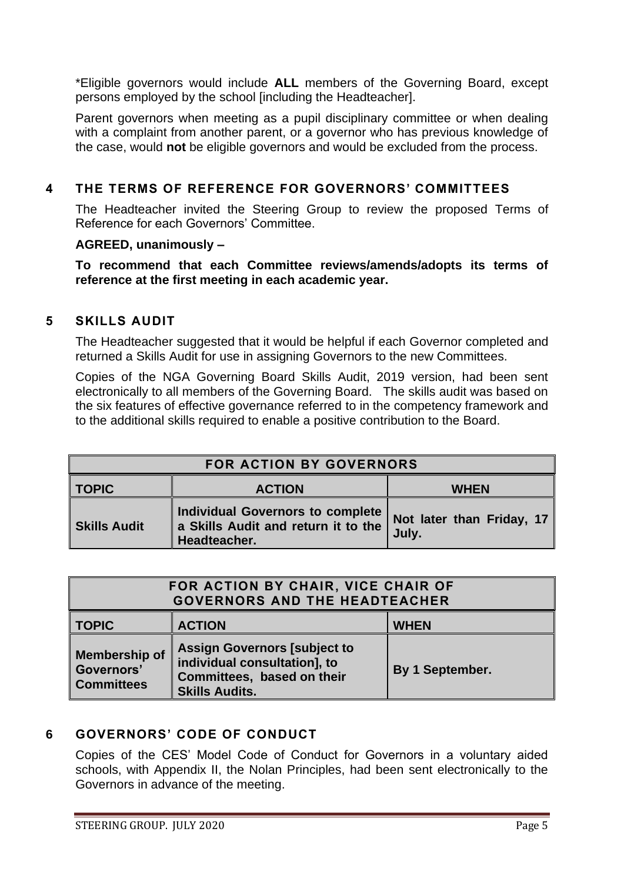\*Eligible governors would include **ALL** members of the Governing Board, except persons employed by the school [including the Headteacher].

Parent governors when meeting as a pupil disciplinary committee or when dealing with a complaint from another parent, or a governor who has previous knowledge of the case, would **not** be eligible governors and would be excluded from the process.

## **4 THE TERMS OF REFERENCE FOR GOVERNORS' COMMITTEES**

The Headteacher invited the Steering Group to review the proposed Terms of Reference for each Governors' Committee.

#### **AGREED, unanimously –**

**To recommend that each Committee reviews/amends/adopts its terms of reference at the first meeting in each academic year.** 

#### **5 SKILLS AUDIT**

The Headteacher suggested that it would be helpful if each Governor completed and returned a Skills Audit for use in assigning Governors to the new Committees.

Copies of the NGA Governing Board Skills Audit, 2019 version, had been sent electronically to all members of the Governing Board. The skills audit was based on the six features of effective governance referred to in the competency framework and to the additional skills required to enable a positive contribution to the Board.

| <b>FOR ACTION BY GOVERNORS</b> |                                                                                         |                                    |
|--------------------------------|-----------------------------------------------------------------------------------------|------------------------------------|
| ∥ TOPIC                        | <b>ACTION</b>                                                                           | <b>WHEN</b>                        |
| Skills Audit                   | Individual Governors to complete<br>a Skills Audit and return it to the<br>Headteacher. | Not later than Friday, 17<br>July. |

| FOR ACTION BY CHAIR, VICE CHAIR OF<br><b>GOVERNORS AND THE HEADTEACHER</b> |                                                                                                                            |                 |
|----------------------------------------------------------------------------|----------------------------------------------------------------------------------------------------------------------------|-----------------|
| <b>TOPIC</b>                                                               | <b>ACTION</b>                                                                                                              | <b>WHEN</b>     |
| <b>Membership of</b><br>Governors'<br><b>Committees</b>                    | <b>Assign Governors [subject to</b><br>individual consultation], to<br>Committees, based on their<br><b>Skills Audits.</b> | By 1 September. |

## **6 GOVERNORS' CODE OF CONDUCT**

Copies of the CES' Model Code of Conduct for Governors in a voluntary aided schools, with Appendix II, the Nolan Principles, had been sent electronically to the Governors in advance of the meeting.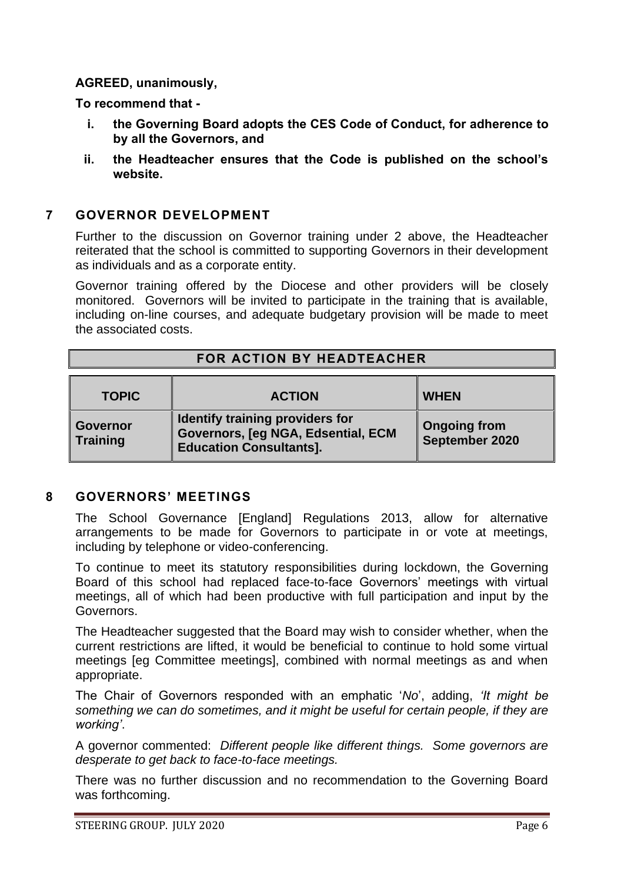#### **AGREED, unanimously,**

**To recommend that -**

- **i. the Governing Board adopts the CES Code of Conduct, for adherence to by all the Governors, and**
- **ii. the Headteacher ensures that the Code is published on the school's website.**

#### **7 GOVERNOR DEVELOPMENT**

Further to the discussion on Governor training under 2 above, the Headteacher reiterated that the school is committed to supporting Governors in their development as individuals and as a corporate entity.

Governor training offered by the Diocese and other providers will be closely monitored. Governors will be invited to participate in the training that is available, including on-line courses, and adequate budgetary provision will be made to meet the associated costs.

| FOR ACTION BY HEADTEACHER          |                                                                                                         |                                       |
|------------------------------------|---------------------------------------------------------------------------------------------------------|---------------------------------------|
| <b>TOPIC</b>                       | <b>ACTION</b>                                                                                           | <b>WHEN</b>                           |
| <b>Governor</b><br><b>Training</b> | Identify training providers for<br>Governors, [eg NGA, Edsential, ECM<br><b>Education Consultants].</b> | <b>Ongoing from</b><br>September 2020 |

#### **8 GOVERNORS' MEETINGS**

The School Governance [England] Regulations 2013, allow for alternative arrangements to be made for Governors to participate in or vote at meetings, including by telephone or video-conferencing.

To continue to meet its statutory responsibilities during lockdown, the Governing Board of this school had replaced face-to-face Governors' meetings with virtual meetings, all of which had been productive with full participation and input by the Governors.

The Headteacher suggested that the Board may wish to consider whether, when the current restrictions are lifted, it would be beneficial to continue to hold some virtual meetings [eg Committee meetings], combined with normal meetings as and when appropriate.

The Chair of Governors responded with an emphatic '*No*', adding, *'It might be something we can do sometimes, and it might be useful for certain people, if they are working'*.

A governor commented: *Different people like different things. Some governors are desperate to get back to face-to-face meetings.*

There was no further discussion and no recommendation to the Governing Board was forthcoming.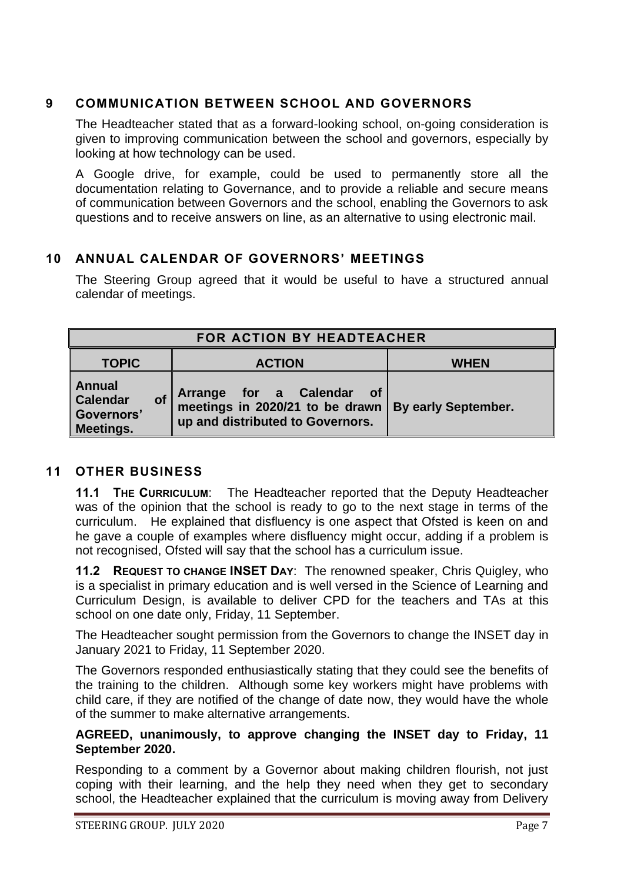## **9 COMMUNICATION BETWEEN SCHOOL AND GOVERNORS**

The Headteacher stated that as a forward-looking school, on-going consideration is given to improving communication between the school and governors, especially by looking at how technology can be used.

A Google drive, for example, could be used to permanently store all the documentation relating to Governance, and to provide a reliable and secure means of communication between Governors and the school, enabling the Governors to ask questions and to receive answers on line, as an alternative to using electronic mail.

## **10 ANNUAL CALENDAR OF GOVERNORS' MEETINGS**

The Steering Group agreed that it would be useful to have a structured annual calendar of meetings.

| FOR ACTION BY HEADTEACHER                                                |                                                                                                                                          |             |
|--------------------------------------------------------------------------|------------------------------------------------------------------------------------------------------------------------------------------|-------------|
| <b>TOPIC</b>                                                             | <b>ACTION</b>                                                                                                                            | <b>WHEN</b> |
| Annual<br><b>Calendar</b><br><b>of</b><br>Governors'<br><b>Meetings.</b> | Arrange for a Calendar of By early September.<br>meetings in 2020/21 to be drawn By early September.<br>up and distributed to Governors. |             |

### **11 OTHER BUSINESS**

**11.1 THE CURRICULUM**: The Headteacher reported that the Deputy Headteacher was of the opinion that the school is ready to go to the next stage in terms of the curriculum. He explained that disfluency is one aspect that Ofsted is keen on and he gave a couple of examples where disfluency might occur, adding if a problem is not recognised, Ofsted will say that the school has a curriculum issue.

**11.2 REQUEST TO CHANGE INSET DAY**: The renowned speaker, Chris Quigley, who is a specialist in primary education and is well versed in the Science of Learning and Curriculum Design, is available to deliver CPD for the teachers and TAs at this school on one date only, Friday, 11 September.

The Headteacher sought permission from the Governors to change the INSET day in January 2021 to Friday, 11 September 2020.

The Governors responded enthusiastically stating that they could see the benefits of the training to the children. Although some key workers might have problems with child care, if they are notified of the change of date now, they would have the whole of the summer to make alternative arrangements.

#### **AGREED, unanimously, to approve changing the INSET day to Friday, 11 September 2020.**

Responding to a comment by a Governor about making children flourish, not just coping with their learning, and the help they need when they get to secondary school, the Headteacher explained that the curriculum is moving away from Delivery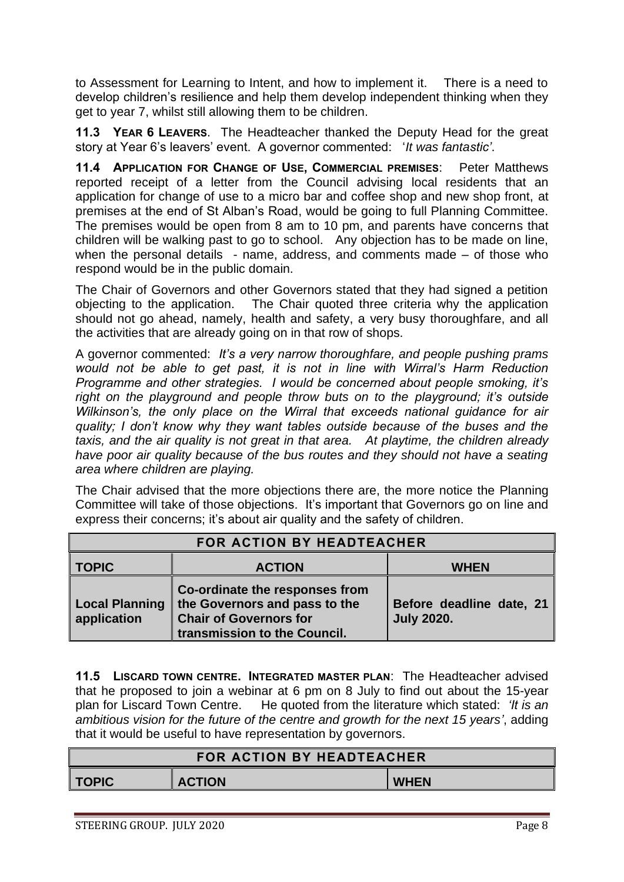to Assessment for Learning to Intent, and how to implement it. There is a need to develop children's resilience and help them develop independent thinking when they get to year 7, whilst still allowing them to be children.

**11.3 YEAR 6 LEAVERS**. The Headteacher thanked the Deputy Head for the great story at Year 6's leavers' event. A governor commented: '*It was fantastic'*.

**11.4 APPLICATION FOR CHANGE OF USE, COMMERCIAL PREMISES**: Peter Matthews reported receipt of a letter from the Council advising local residents that an application for change of use to a micro bar and coffee shop and new shop front, at premises at the end of St Alban's Road, would be going to full Planning Committee. The premises would be open from 8 am to 10 pm, and parents have concerns that children will be walking past to go to school. Any objection has to be made on line, when the personal details  $-$  name, address, and comments made  $-$  of those who respond would be in the public domain.

The Chair of Governors and other Governors stated that they had signed a petition objecting to the application. The Chair quoted three criteria why the application should not go ahead, namely, health and safety, a very busy thoroughfare, and all the activities that are already going on in that row of shops.

A governor commented: *It's a very narrow thoroughfare, and people pushing prams would not be able to get past, it is not in line with Wirral's Harm Reduction Programme and other strategies. I would be concerned about people smoking, it's right on the playground and people throw buts on to the playground; it's outside Wilkinson's, the only place on the Wirral that exceeds national guidance for air quality; I don't know why they want tables outside because of the buses and the taxis, and the air quality is not great in that area. At playtime, the children already have poor air quality because of the bus routes and they should not have a seating area where children are playing.*

The Chair advised that the more objections there are, the more notice the Planning Committee will take of those objections. It's important that Governors go on line and express their concerns; it's about air quality and the safety of children.

| FOR ACTION BY HEADTEACHER            |                                                                                                                                  |                                               |
|--------------------------------------|----------------------------------------------------------------------------------------------------------------------------------|-----------------------------------------------|
| <b>TOPIC</b>                         | <b>ACTION</b>                                                                                                                    | <b>WHEN</b>                                   |
| <b>Local Planning</b><br>application | Co-ordinate the responses from<br>the Governors and pass to the<br><b>Chair of Governors for</b><br>transmission to the Council. | Before deadline date, 21<br><b>July 2020.</b> |

**11.5 LISCARD TOWN CENTRE. INTEGRATED MASTER PLAN**: The Headteacher advised that he proposed to join a webinar at 6 pm on 8 July to find out about the 15-year plan for Liscard Town Centre. He quoted from the literature which stated: *'It is an ambitious vision for the future of the centre and growth for the next 15 years'*, adding that it would be useful to have representation by governors.

| <b>FOR ACTION BY HEADTEACHER</b> |               |             |
|----------------------------------|---------------|-------------|
| <b>TOPIC</b>                     | <b>ACTION</b> | <b>WHEN</b> |